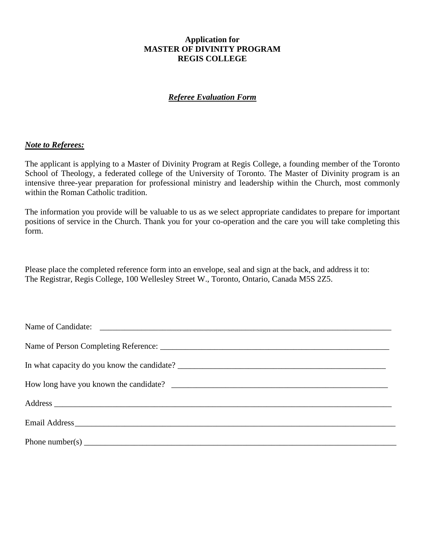### **Application for MASTER OF DIVINITY PROGRAM REGIS COLLEGE**

# *Referee Evaluation Form*

### *Note to Referees:*

The applicant is applying to a Master of Divinity Program at Regis College, a founding member of the Toronto School of Theology, a federated college of the University of Toronto. The Master of Divinity program is an intensive three-year preparation for professional ministry and leadership within the Church, most commonly within the Roman Catholic tradition.

The information you provide will be valuable to us as we select appropriate candidates to prepare for important positions of service in the Church. Thank you for your co-operation and the care you will take completing this form.

Please place the completed reference form into an envelope, seal and sign at the back, and address it to: The Registrar, Regis College, 100 Wellesley Street W., Toronto, Ontario, Canada M5S 2Z5.

| Phone number(s) $\frac{1}{2}$ $\frac{1}{2}$ $\frac{1}{2}$ $\frac{1}{2}$ $\frac{1}{2}$ $\frac{1}{2}$ $\frac{1}{2}$ $\frac{1}{2}$ $\frac{1}{2}$ $\frac{1}{2}$ $\frac{1}{2}$ $\frac{1}{2}$ $\frac{1}{2}$ $\frac{1}{2}$ $\frac{1}{2}$ $\frac{1}{2}$ $\frac{1}{2}$ $\frac{1}{2}$ $\frac{1}{2}$ $\frac{1}{2}$ $\frac{1$ |  |  |  |  |  |  |  |  |
|-------------------------------------------------------------------------------------------------------------------------------------------------------------------------------------------------------------------------------------------------------------------------------------------------------------------|--|--|--|--|--|--|--|--|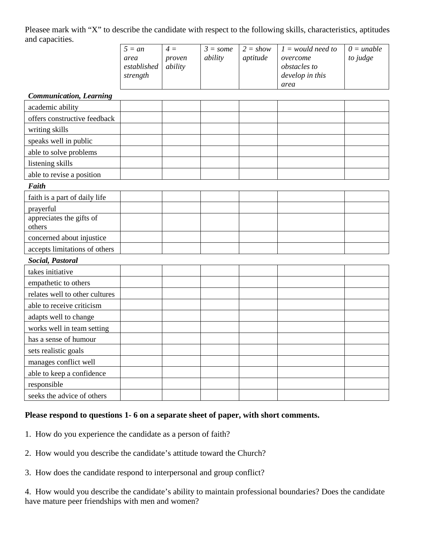Pleasee mark with "X" to describe the candidate with respect to the following skills, characteristics, aptitudes and capacities.

| $5 = an$ | $4 =$                  | $3 = some$ | $2 = show$ | $1 =$ would need to | $0 = \text{unable}$ |
|----------|------------------------|------------|------------|---------------------|---------------------|
| area     | proven                 | ability    | aptitude   | overcome            | to judge            |
|          | estabilished   ability |            |            | <i>obstacles to</i> |                     |
| strength |                        |            |            | develop in this     |                     |
|          |                        |            |            | area                |                     |

#### *Communication, Learning*

| Communication, Learning            |  |  |  |  |  |  |  |  |
|------------------------------------|--|--|--|--|--|--|--|--|
| academic ability                   |  |  |  |  |  |  |  |  |
| offers constructive feedback       |  |  |  |  |  |  |  |  |
| writing skills                     |  |  |  |  |  |  |  |  |
| speaks well in public              |  |  |  |  |  |  |  |  |
| able to solve problems             |  |  |  |  |  |  |  |  |
| listening skills                   |  |  |  |  |  |  |  |  |
| able to revise a position          |  |  |  |  |  |  |  |  |
| Faith                              |  |  |  |  |  |  |  |  |
| faith is a part of daily life      |  |  |  |  |  |  |  |  |
| prayerful                          |  |  |  |  |  |  |  |  |
| appreciates the gifts of<br>others |  |  |  |  |  |  |  |  |
| concerned about injustice          |  |  |  |  |  |  |  |  |
| accepts limitations of others      |  |  |  |  |  |  |  |  |
| Social, Pastoral                   |  |  |  |  |  |  |  |  |
| takes initiative                   |  |  |  |  |  |  |  |  |
| empathetic to others               |  |  |  |  |  |  |  |  |
| relates well to other cultures     |  |  |  |  |  |  |  |  |
| able to receive criticism          |  |  |  |  |  |  |  |  |
| adapts well to change              |  |  |  |  |  |  |  |  |
| works well in team setting         |  |  |  |  |  |  |  |  |
| has a sense of humour              |  |  |  |  |  |  |  |  |
| sets realistic goals               |  |  |  |  |  |  |  |  |
| manages conflict well              |  |  |  |  |  |  |  |  |
| able to keep a confidence          |  |  |  |  |  |  |  |  |
| responsible                        |  |  |  |  |  |  |  |  |
| seeks the advice of others         |  |  |  |  |  |  |  |  |

# **Please respond to questions 1- 6 on a separate sheet of paper, with short comments.**

- 1. How do you experience the candidate as a person of faith?
- 2. How would you describe the candidate's attitude toward the Church?
- 3. How does the candidate respond to interpersonal and group conflict?

4. How would you describe the candidate's ability to maintain professional boundaries? Does the candidate have mature peer friendships with men and women?